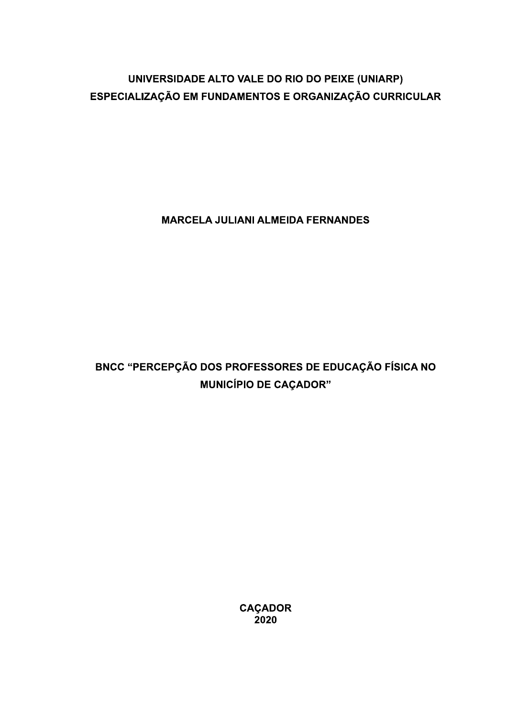# UNIVERSIDADE ALTO VALE DO RIO DO PEIXE (UNIARP) ESPECIALIZAÇÃO EM FUNDAMENTOS E ORGANIZAÇÃO CURRICULAR

**MARCELA JULIANI ALMEIDA FERNANDES** 

# BNCC "PERCEPÇÃO DOS PROFESSORES DE EDUCAÇÃO FÍSICA NO **MUNICÍPIO DE CAÇADOR"**

CAÇADOR<br>2020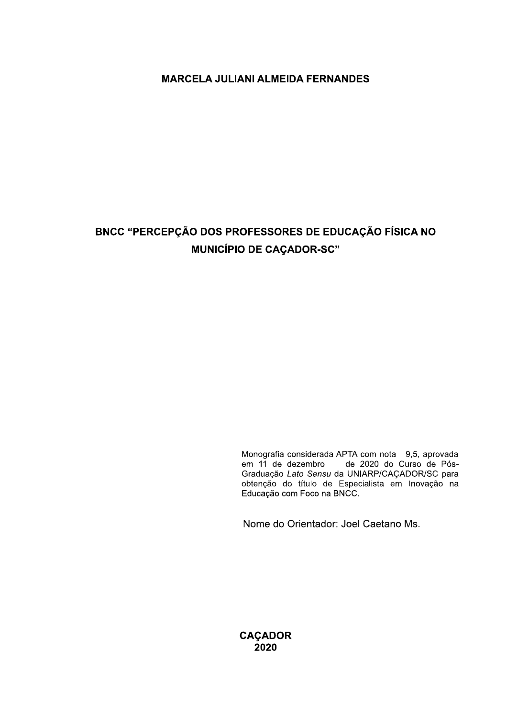## **MARCELA JULIANI ALMEIDA FERNANDES**

# BNCC "PERCEPÇÃO DOS PROFESSORES DE EDUCAÇÃO FÍSICA NO **MUNICÍPIO DE CAÇADOR-SC"**

Monografia considerada APTA com nota 9,5, aprovada<br>em 11 de dezembro de 2020 do Curso de Pós-Graduação Lato Sensu da UNIARP/CAÇADOR/SC para obtenção do título de Especialista em Inovação na Educação com Foco na BNCC.

Nome do Orientador: Joel Caetano Ms.

**CAÇADOR** 2020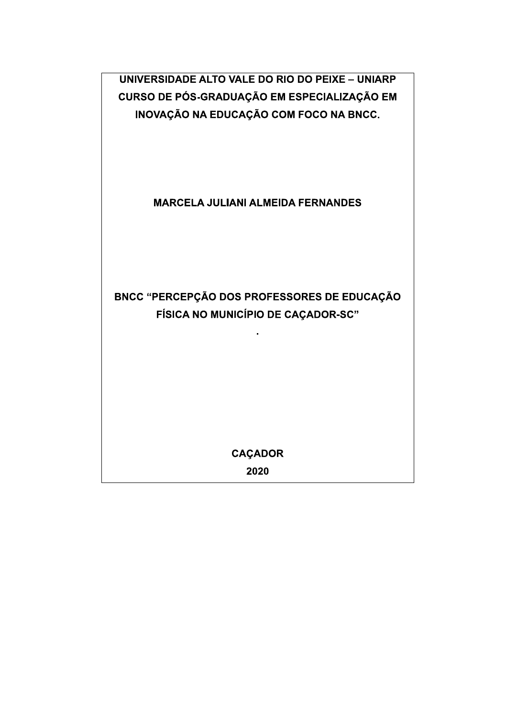UNIVERSIDADE ALTO VALE DO RIO DO PEIXE - UNIARP CURSO DE PÓS-GRADUAÇÃO EM ESPECIALIZAÇÃO EM INOVAÇÃO NA EDUCAÇÃO COM FOCO NA BNCC.

# **MARCELA JULIANI ALMEIDA FERNANDES**

# BNCC "PERCEPÇÃO DOS PROFESSORES DE EDUCAÇÃO FÍSICA NO MUNICÍPIO DE CAÇADOR-SC"

**CAÇADOR** 

2020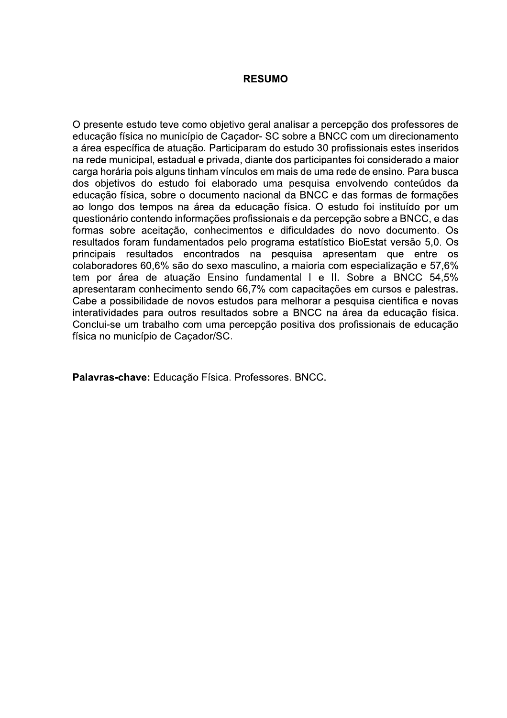### **RESUMO**

O presente estudo teve como objetivo geral analisar a percepção dos professores de educação física no município de Cacador- SC sobre a BNCC com um direcionamento a área específica de atuação. Participaram do estudo 30 profissionais estes inseridos na rede municipal, estadual e privada, diante dos participantes foi considerado a maior carga horária pois alguns tinham vínculos em mais de uma rede de ensino. Para busca dos objetivos do estudo foi elaborado uma pesquisa envolvendo conteúdos da educação física, sobre o documento nacional da BNCC e das formas de formações ao longo dos tempos na área da educação física. O estudo foi instituído por um questionário contendo informações profissionais e da percepção sobre a BNCC, e das formas sobre aceitação, conhecimentos e dificuldades do novo documento. Os resultados foram fundamentados pelo programa estatístico BioEstat versão 5,0. Os principais resultados encontrados na pesquisa apresentam que entre os colaboradores 60,6% são do sexo masculino, a maioria com especialização e 57,6% tem por área de atuação Ensino fundamental I e II. Sobre a BNCC 54,5% apresentaram conhecimento sendo 66,7% com capacitações em cursos e palestras. Cabe a possibilidade de novos estudos para melhorar a pesquisa científica e novas interatividades para outros resultados sobre a BNCC na área da educação física. Conclui-se um trabalho com uma percepção positiva dos profissionais de educação física no município de Caçador/SC.

Palavras-chave: Educação Física. Professores. BNCC.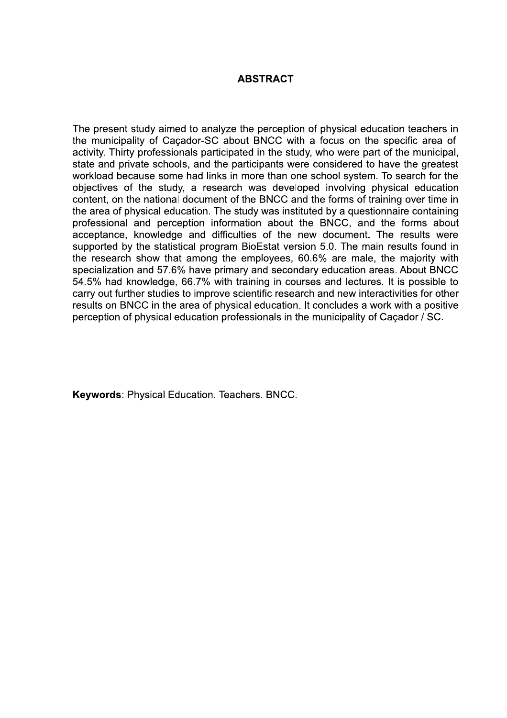## **ABSTRACT**

The present study aimed to analyze the perception of physical education teachers in the municipality of Cacador-SC about BNCC with a focus on the specific area of activity. Thirty professionals participated in the study, who were part of the municipal, state and private schools, and the participants were considered to have the greatest workload because some had links in more than one school system. To search for the objectives of the study, a research was developed involving physical education content, on the national document of the BNCC and the forms of training over time in the area of physical education. The study was instituted by a questionnaire containing professional and perception information about the BNCC, and the forms about acceptance, knowledge and difficulties of the new document. The results were supported by the statistical program BioEstat version 5.0. The main results found in the research show that among the employees, 60.6% are male, the majority with specialization and 57.6% have primary and secondary education areas. About BNCC 54.5% had knowledge, 66.7% with training in courses and lectures. It is possible to carry out further studies to improve scientific research and new interactivities for other results on BNCC in the area of physical education. It concludes a work with a positive perception of physical education professionals in the municipality of Cacador / SC.

Keywords: Physical Education. Teachers. BNCC.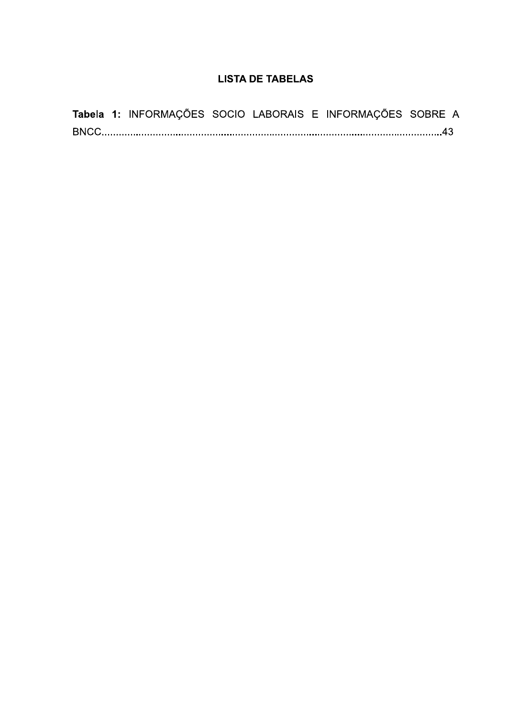# **LISTA DE TABELAS**

|  | <b>Tabela 1:</b> INFORMAÇÕES SOCIO LABORAIS E INFORMAÇÕES SOBRE A |  |  |  |
|--|-------------------------------------------------------------------|--|--|--|
|  |                                                                   |  |  |  |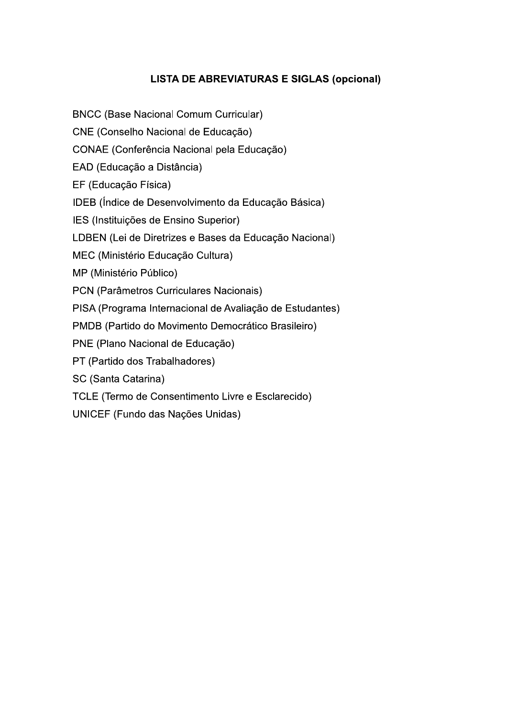# **LISTA DE ABREVIATURAS E SIGLAS (opcional)**

**BNCC (Base Nacional Comum Curricular)** 

CNE (Conselho Nacional de Educação)

CONAE (Conferência Nacional pela Educação)

EAD (Educação a Distância)

EF (Educação Física)

IDEB (Índice de Desenvolvimento da Educação Básica)

IES (Instituições de Ensino Superior)

LDBEN (Lei de Diretrizes e Bases da Educação Nacional)

MEC (Ministério Educação Cultura)

MP (Ministério Público)

PCN (Parâmetros Curriculares Nacionais)

PISA (Programa Internacional de Avaliação de Estudantes)

PMDB (Partido do Movimento Democrático Brasileiro)

PNE (Plano Nacional de Educação)

PT (Partido dos Trabalhadores)

SC (Santa Catarina)

TCLE (Termo de Consentimento Livre e Esclarecido)

UNICEF (Fundo das Nações Unidas)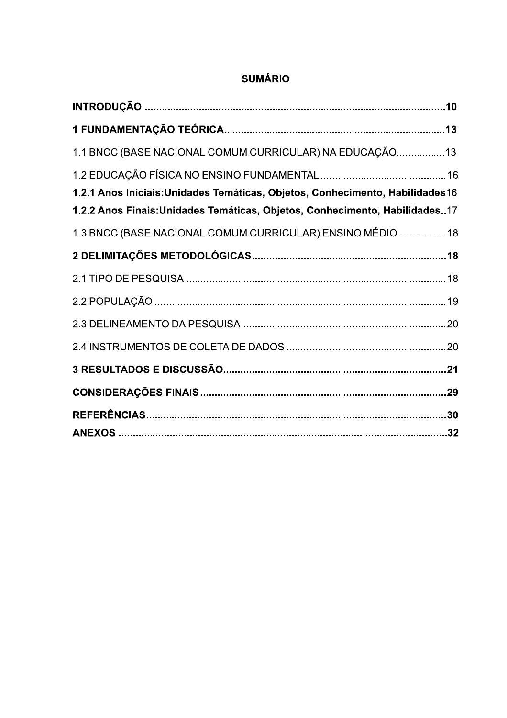| 1.1 BNCC (BASE NACIONAL COMUM CURRICULAR) NA EDUCAÇÃO13                                                                                                       |  |
|---------------------------------------------------------------------------------------------------------------------------------------------------------------|--|
| 1.2.1 Anos Iniciais: Unidades Temáticas, Objetos, Conhecimento, Habilidades 16<br>1.2.2 Anos Finais: Unidades Temáticas, Objetos, Conhecimento, Habilidades17 |  |
| 1.3 BNCC (BASE NACIONAL COMUM CURRICULAR) ENSINO MÉDIO 18                                                                                                     |  |
|                                                                                                                                                               |  |
|                                                                                                                                                               |  |
|                                                                                                                                                               |  |
|                                                                                                                                                               |  |
|                                                                                                                                                               |  |
|                                                                                                                                                               |  |
|                                                                                                                                                               |  |
|                                                                                                                                                               |  |
|                                                                                                                                                               |  |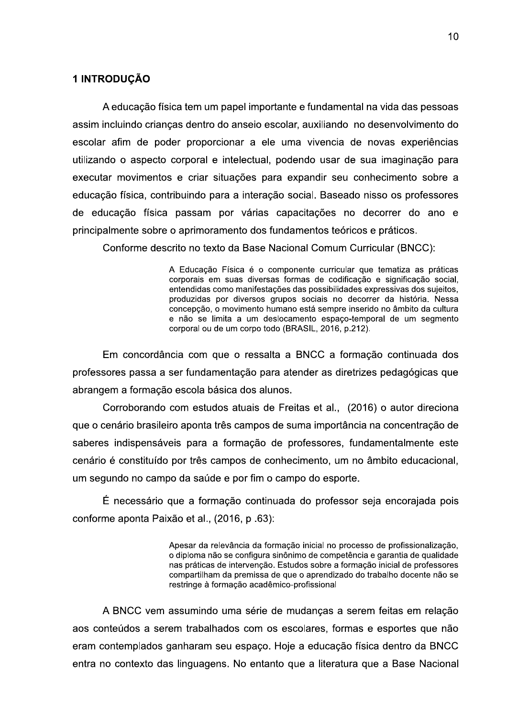### 1 INTRODUÇÃO

A educação física tem um papel importante e fundamental na vida das pessoas assim incluindo criancas dentro do anseio escolar, auxiliando no desenvolvimento do escolar afim de poder proporcionar a ele uma vivencia de novas experiências utilizando o aspecto corporal e intelectual, podendo usar de sua imaginação para executar movimentos e criar situações para expandir seu conhecimento sobre a educação física, contribuindo para a interação social. Baseado nisso os professores de educação física passam por várias capacitações no decorrer do ano e principalmente sobre o aprimoramento dos fundamentos teóricos e práticos.

Conforme descrito no texto da Base Nacional Comum Curricular (BNCC):

A Educação Física é o componente curricular que tematiza as práticas corporais em suas diversas formas de codificação e significação social, entendidas como manifestações das possibilidades expressivas dos sujeitos, produzidas por diversos grupos sociais no decorrer da história. Nessa concepção, o movimento humano está sempre inserido no âmbito da cultura e não se limita a um deslocamento espaço-temporal de um segmento corporal ou de um corpo todo (BRASIL, 2016, p.212).

Em concordância com que o ressalta a BNCC a formação continuada dos professores passa a ser fundamentação para atender as diretrizes pedagógicas que abrangem a formação escola básica dos alunos.

Corroborando com estudos atuais de Freitas et al., (2016) o autor direciona que o cenário brasileiro aponta três campos de suma importância na concentração de saberes indispensáveis para a formação de professores, fundamentalmente este cenário é constituído por três campos de conhecimento, um no âmbito educacional, um segundo no campo da saúde e por fim o campo do esporte.

É necessário que a formação continuada do professor seja encorajada pois conforme aponta Paixão et al., (2016, p.63);

> Apesar da relevância da formação inicial no processo de profissionalização, o diploma não se configura sinônimo de competência e garantia de qualidade nas práticas de intervenção. Estudos sobre a formação inicial de professores compartilham da premissa de que o aprendizado do trabalho docente não se restringe à formação acadêmico-profissional

A BNCC vem assumindo uma série de mudanças a serem feitas em relação aos conteúdos a serem trabalhados com os escolares, formas e esportes que não eram contemplados ganharam seu espaço. Hoje a educação física dentro da BNCC entra no contexto das linguagens. No entanto que a literatura que a Base Nacional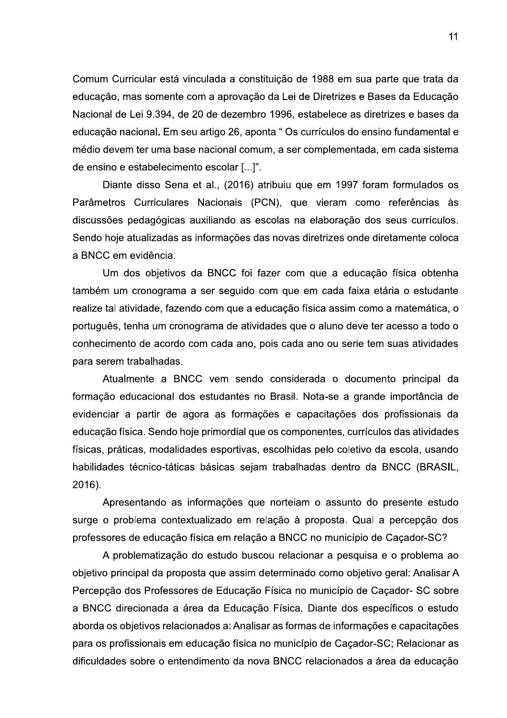Comum Curricular está vinculada a constituição de 1988 em sua parte que trata da educação, mas somente com a aprovação da Lei de Diretrizes e Bases da Educação Nacional de Lei 9.394, de 20 de dezembro 1996, estabelece as diretrizes e bases da educação nacional. Em seu artigo 26, aponta "Os currículos do ensino fundamental e médio devem ter uma base nacional comum, a ser complementada, em cada sistema de ensino e estabelecimento escolar [...]".

Diante disso Sena et al., (2016) atribuiu que em 1997 foram formulados os Parâmetros Curriculares Nacionais (PCN), que vieram como referências às discussões pedagógicas auxiliando as escolas na elaboração dos seus currículos. Sendo hoje atualizadas as informações das novas diretrizes onde diretamente coloca a BNCC em evidência.

Um dos objetivos da BNCC foi fazer com que a educação física obtenha também um cronograma a ser seguido com que em cada faixa etária o estudante realize tal atividade, fazendo com que a educação física assim como a matemática, o português, tenha um cronograma de atividades que o aluno deve ter acesso a todo o conhecimento de acordo com cada ano, pois cada ano ou serie tem suas atividades para serem trabalhadas.

Atualmente a BNCC vem sendo considerada o documento principal da formação educacional dos estudantes no Brasil. Nota-se a grande importância de evidenciar a partir de agora as formações e capacitações dos profissionais da educação física. Sendo hoje primordial que os componentes, currículos das atividades físicas, práticas, modalidades esportivas, escolhidas pelo coletivo da escola, usando habilidades técnico-táticas básicas sejam trabalhadas dentro da BNCC (BRASIL, 2016).

Apresentando as informações que norteiam o assunto do presente estudo surge o problema contextualizado em relação à proposta. Qual a percepção dos professores de educação física em relação a BNCC no município de Caçador-SC?

A problematização do estudo buscou relacionar a pesquisa e o problema ao objetivo principal da proposta que assim determinado como objetivo geral: Analisar A Percepção dos Professores de Educação Física no município de Caçador- SC sobre a BNCC direcionada a área da Educação Física. Diante dos específicos o estudo aborda os objetivos relacionados a: Analisar as formas de informações e capacitações para os profissionais em educação física no município de Caçador-SC; Relacionar as dificuldades sobre o entendimento da nova BNCC relacionados a área da educação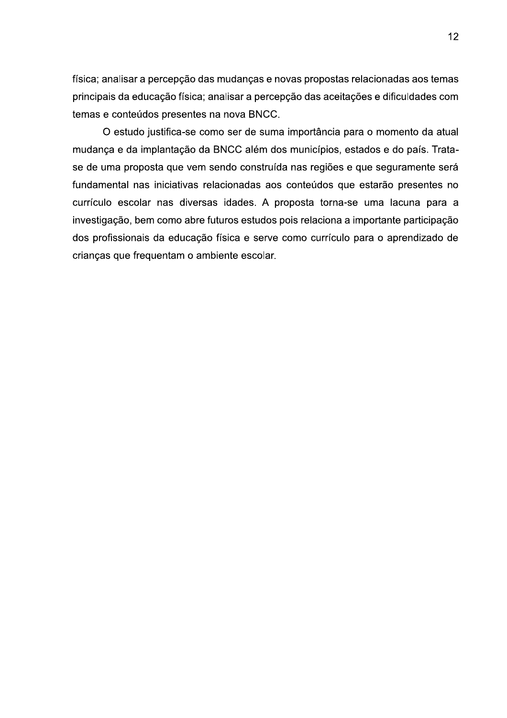física; analisar a percepção das mudanças e novas propostas relacionadas aos temas principais da educação física; analisar a percepção das aceitações e dificuldades com temas e conteúdos presentes na nova BNCC.

O estudo justifica-se como ser de suma importância para o momento da atual mudança e da implantação da BNCC além dos municípios, estados e do país. Tratase de uma proposta que vem sendo construída nas regiões e que seguramente será fundamental nas iniciativas relacionadas aos conteúdos que estarão presentes no currículo escolar nas diversas idades. A proposta torna-se uma lacuna para a investigação, bem como abre futuros estudos pois relaciona a importante participação dos profissionais da educação física e serve como currículo para o aprendizado de crianças que frequentam o ambiente escolar.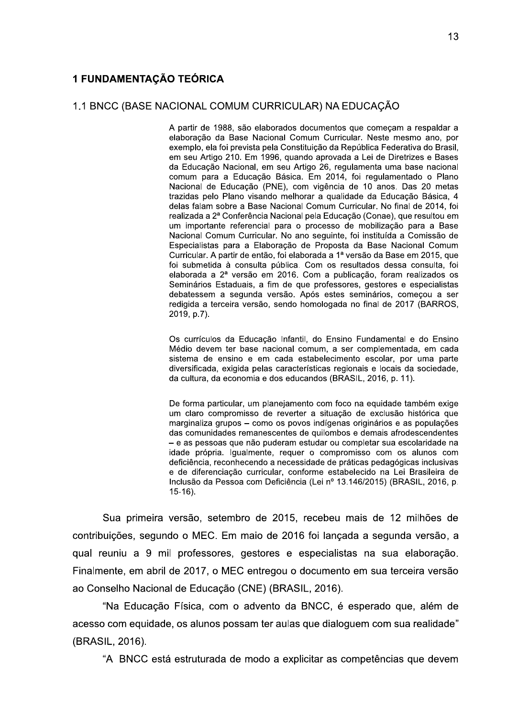#### 1.1 BNCC (BASE NACIONAL COMUM CURRICULAR) NA EDUCAÇÃO

A partir de 1988, são elaborados documentos que comecam a respaldar a elaboração da Base Nacional Comum Curricular. Neste mesmo ano, por exemplo, ela foi prevista pela Constituição da República Federativa do Brasil, em seu Artigo 210. Em 1996, quando aprovada a Lei de Diretrizes e Bases da Educação Nacional, em seu Artigo 26, regulamenta uma base nacional comum para a Educação Básica. Em 2014, foi regulamentado o Plano Nacional de Educação (PNE), com vigência de 10 anos. Das 20 metas trazidas pelo Plano visando melhorar a qualidade da Educação Básica, 4 delas falam sobre a Base Nacional Comum Curricular. No final de 2014, foi realizada a 2ª Conferência Nacional pela Educação (Conae), que resultou em um importante referencial para o processo de mobilização para a Base Nacional Comum Curricular. No ano seguinte, foi instituída a Comissão de Especialistas para a Elaboração de Proposta da Base Nacional Comum Curricular. A partir de então, foi elaborada a 1ª versão da Base em 2015, que foi submetida à consulta pública. Com os resultados dessa consulta, foi elaborada a 2ª versão em 2016. Com a publicação, foram realizados os Seminários Estaduais, a fim de que professores, gestores e especialistas debatessem a segunda versão. Após estes seminários, começou a ser redigida a terceira versão, sendo homologada no final de 2017 (BARROS, 2019, p.7).

Os currículos da Educação Infantil, do Ensino Fundamental e do Ensino Médio devem ter base nacional comum, a ser complementada, em cada sistema de ensino e em cada estabelecimento escolar, por uma parte diversificada, exigida pelas características regionais e locais da sociedade, da cultura, da economia e dos educandos (BRASIL, 2016, p. 11).

De forma particular, um planejamento com foco na equidade também exige um claro compromisso de reverter a situação de exclusão histórica que marginaliza grupos - como os povos indígenas originários e as populações das comunidades remanescentes de quilombos e demais afrodescendentes - e as pessoas que não puderam estudar ou completar sua escolaridade na idade própria. Igualmente, requer o compromisso com os alunos com deficiência, reconhecendo a necessidade de práticas pedagógicas inclusivas e de diferenciação curricular, conforme estabelecido na Lei Brasileira de Inclusão da Pessoa com Deficiência (Lei nº 13.146/2015) (BRASIL, 2016, p.  $15-16$ ).

Sua primeira versão, setembro de 2015, recebeu mais de 12 milhões de contribuições, segundo o MEC. Em maio de 2016 foi lançada a segunda versão, a qual reuniu a 9 mil professores, gestores e especialistas na sua elaboração. Finalmente, em abril de 2017, o MEC entregou o documento em sua terceira versão ao Conselho Nacional de Educação (CNE) (BRASIL, 2016).

"Na Educação Física, com o advento da BNCC, é esperado que, além de acesso com equidade, os alunos possam ter aulas que dialoguem com sua realidade" (BRASIL, 2016).

"A BNCC está estruturada de modo a explicitar as competências que devem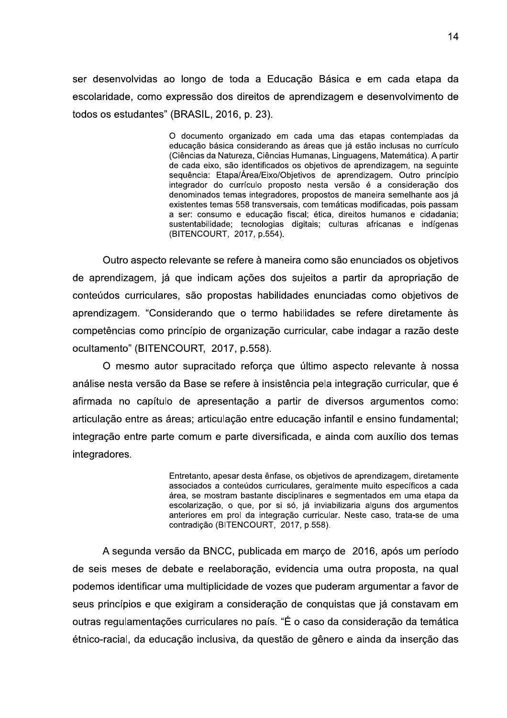ser desenvolvidas ao longo de toda a Educação Básica e em cada etapa da escolaridade, como expressão dos direitos de aprendizagem e desenvolvimento de todos os estudantes" (BRASIL, 2016, p. 23).

> O documento organizado em cada uma das etapas contempladas da educação básica considerando as áreas que já estão inclusas no currículo (Ciências da Natureza, Ciências Humanas, Linguagens, Matemática), A partir de cada eixo, são identificados os obietivos de aprendizagem, na seguinte seguência: Etapa/Área/Eixo/Obietivos de aprendizagem. Outro princípio integrador do currículo proposto nesta versão é a consideração dos denominados temas integradores, propostos de maneira semelhante aos já existentes temas 558 transversais, com temáticas modificadas, pois passam a ser: consumo e educação fiscal; ética, direitos humanos e cidadania; sustentabilidade; tecnologias digitais; culturas africanas e indígenas (BITENCOURT, 2017, p.554).

Outro aspecto relevante se refere à maneira como são enunciados os objetivos de aprendizagem, já que indicam ações dos sujeitos a partir da apropriação de conteúdos curriculares, são propostas habilidades enunciadas como objetivos de aprendizagem. "Considerando que o termo habilidades se refere diretamente às competências como princípio de organização curricular, cabe indagar a razão deste ocultamento" (BITENCOURT, 2017, p.558).

O mesmo autor supracitado reforça que último aspecto relevante à nossa análise nesta versão da Base se refere à insistência pela integração curricular, que é afirmada no capítulo de apresentação a partir de diversos argumentos como: articulação entre as áreas; articulação entre educação infantil e ensino fundamental; integração entre parte comum e parte diversificada, e ainda com auxílio dos temas integradores.

> Entretanto, apesar desta ênfase, os objetivos de aprendizagem, diretamente associados a conteúdos curriculares, geralmente muito específicos a cada área, se mostram bastante disciplinares e segmentados em uma etapa da escolarização, o que, por si só, já inviabilizaria alguns dos argumentos anteriores em prol da integração curricular. Neste caso, trata-se de uma contradição (BITENCOURT, 2017, p.558).

A segunda versão da BNCC, publicada em março de 2016, após um período de seis meses de debate e reelaboração, evidencia uma outra proposta, na qual podemos identificar uma multiplicidade de vozes que puderam argumentar a favor de seus princípios e que exigiram a consideração de conquistas que já constavam em outras regulamentações curriculares no país. "É o caso da consideração da temática étnico-racial, da educação inclusiva, da questão de gênero e ainda da inserção das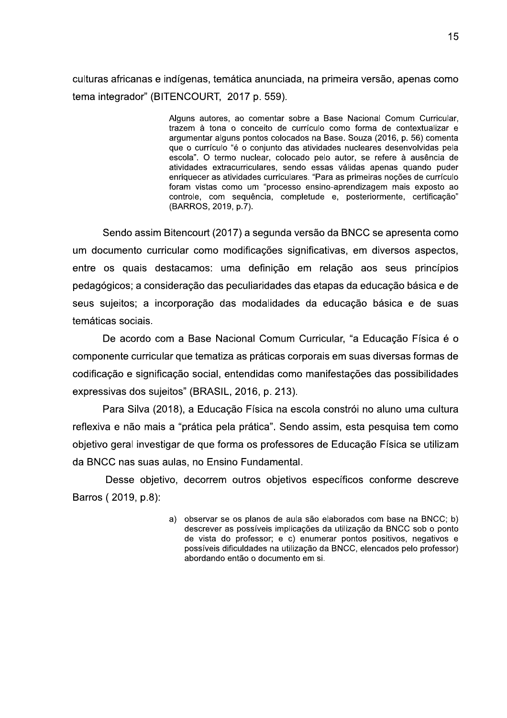culturas africanas e indígenas, temática anunciada, na primeira versão, apenas como tema integrador" (BITENCOURT, 2017 p. 559).

> Alguns autores, ao comentar sobre a Base Nacional Comum Curricular, trazem à tona o conceito de currículo como forma de contextualizar e argumentar alguns pontos colocados na Base. Souza (2016, p. 56) comenta que o currículo "é o conjunto das atividades nucleares desenvolvidas pela escola". O termo nuclear, colocado pelo autor, se refere à ausência de atividades extracurriculares, sendo essas válidas apenas quando puder enriquecer as atividades curriculares. "Para as primeiras nocões de currículo foram vistas como um "processo ensino-aprendizagem mais exposto ao controle, com sequência, completude e, posteriormente, certificação" (BARROS, 2019, p.7).

Sendo assim Bitencourt (2017) a segunda versão da BNCC se apresenta como um documento curricular como modificações significativas, em diversos aspectos, entre os quais destacamos: uma definição em relação aos seus princípios pedagógicos; a consideração das peculiaridades das etapas da educação básica e de seus sujeitos; a incorporação das modalidades da educação básica e de suas temáticas sociais.

De acordo com a Base Nacional Comum Curricular, "a Educação Física é o componente curricular que tematiza as práticas corporais em suas diversas formas de codificação e significação social, entendidas como manifestações das possibilidades expressivas dos sujeitos" (BRASIL, 2016, p. 213).

Para Silva (2018), a Educação Física na escola constrói no aluno uma cultura reflexiva e não mais a "prática pela prática". Sendo assim, esta pesquisa tem como objetivo geral investigar de que forma os professores de Educação Física se utilizam da BNCC nas suas aulas, no Ensino Fundamental.

Desse objetivo, decorrem outros objetivos específicos conforme descreve Barros (2019, p.8):

> a) observar se os planos de aula são elaborados com base na BNCC; b) descrever as possíveis implicações da utilização da BNCC sob o ponto de vista do professor; e c) enumerar pontos positivos, negativos e possíveis dificuldades na utilização da BNCC, elencados pelo professor) abordando então o documento em si.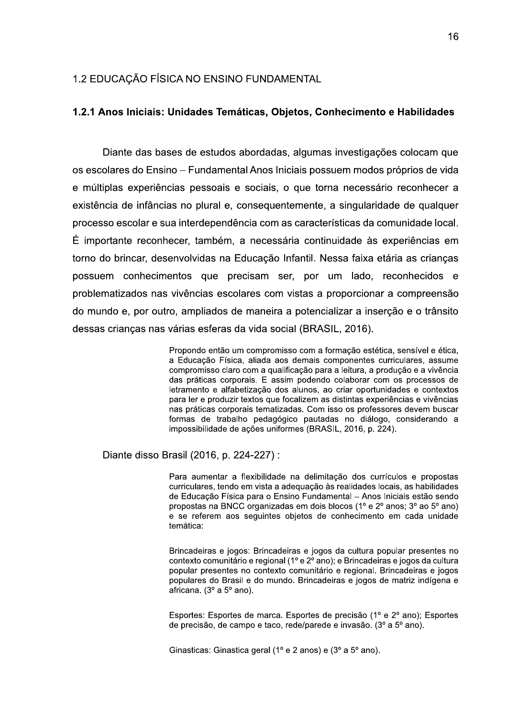#### 1.2 EDUCAÇÃO FÍSICA NO ENSINO FUNDAMENTAL

#### 1.2.1 Anos Iniciais: Unidades Temáticas, Objetos, Conhecimento e Habilidades

Diante das bases de estudos abordadas, algumas investigações colocam que os escolares do Ensino – Fundamental Anos Iniciais possuem modos próprios de vida e múltiplas experiências pessoais e sociais, o que torna necessário reconhecer a existência de infâncias no plural e, consequentemente, a singularidade de qualquer processo escolar e sua interdependência com as características da comunidade local. É importante reconhecer, também, a necessária continuidade às experiências em torno do brincar, desenvolvidas na Educacão Infantil. Nessa faixa etária as criancas possuem conhecimentos que precisam ser, por um lado, reconhecidos e problematizados nas vivências escolares com vistas a proporcionar a compreensão do mundo e, por outro, ampliados de maneira a potencializar a inserção e o trânsito dessas crianças nas várias esferas da vida social (BRASIL, 2016).

> Propondo então um compromisso com a formação estética, sensível e ética, a Educação Física, aliada aos demais componentes curriculares, assume compromisso claro com a qualificação para a leitura, a produção e a vivência das práticas corporais. E assim podendo colaborar com os processos de letramento e alfabetização dos alunos, ao criar oportunidades e contextos para ler e produzir textos que focalizem as distintas experiências e vivências nas práticas corporais tematizadas. Com isso os professores devem buscar formas de trabalho pedagógico pautadas no diálogo, considerando a impossibilidade de ações uniformes (BRASIL, 2016, p. 224).

Diante disso Brasil (2016, p. 224-227) :

Para aumentar a flexibilidade na delimitação dos currículos e propostas curriculares, tendo em vista a adequação às realidades locais, as habilidades de Educação Física para o Ensino Fundamental - Anos Iniciais estão sendo propostas na BNCC organizadas em dois blocos (1º e 2º anos; 3º ao 5º ano) e se referem aos seguintes objetos de conhecimento em cada unidade temática:

Brincadeiras e jogos: Brincadeiras e jogos da cultura popular presentes no contexto comunitário e regional (1º e 2º ano); e Brincadeiras e jogos da cultura popular presentes no contexto comunitário e regional. Brincadeiras e jogos populares do Brasil e do mundo. Brincadeiras e jogos de matriz indígena e africana. (3º a 5º ano).

Esportes: Esportes de marca. Esportes de precisão (1º e 2º ano): Esportes de precisão, de campo e taco, rede/parede e invasão. (3º a 5º ano).

Ginasticas: Ginastica geral (1º e 2 anos) e (3º a 5º ano).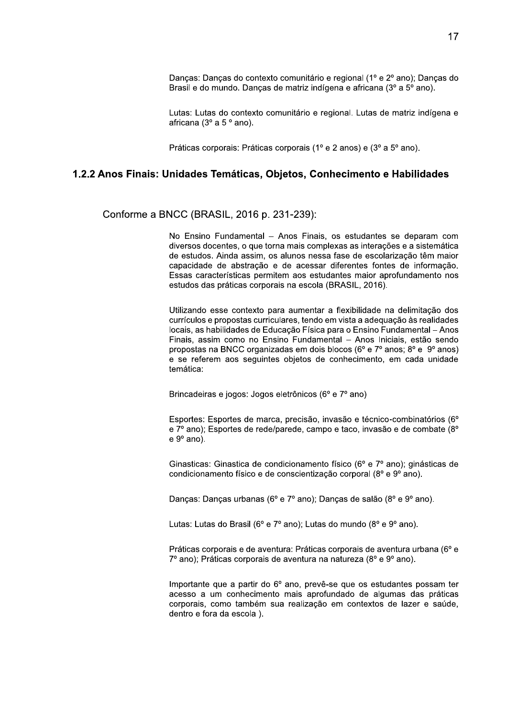Danças: Danças do contexto comunitário e regional (1º e 2º ano); Danças do Brasil e do mundo. Danças de matriz indígena e africana (3º a 5º ano).

Lutas: Lutas do contexto comunitário e regional. Lutas de matriz indígena e africana (3º a 5 º ano).

Práticas corporais: Práticas corporais (1º e 2 anos) e (3º a 5º ano).

#### 1.2.2 Anos Finais: Unidades Temáticas. Obietos. Conhecimento e Habilidades

Conforme a BNCC (BRASIL, 2016 p. 231-239):

No Ensino Fundamental - Anos Finais, os estudantes se deparam com diversos docentes, o que torna mais complexas as interações e a sistemática de estudos. Ainda assim, os alunos nessa fase de escolarização têm maior capacidade de abstração e de acessar diferentes fontes de informação. Essas características permitem aos estudantes maior aprofundamento nos estudos das práticas corporais na escola (BRASIL, 2016).

Utilizando esse contexto para aumentar a flexibilidade na delimitação dos currículos e propostas curriculares, tendo em vista a adequação às realidades locais, as habilidades de Educação Física para o Ensino Fundamental - Anos Finais, assim como no Ensino Fundamental - Anos Iniciais, estão sendo propostas na BNCC organizadas em dois blocos (6° e 7° anos; 8° e 9° anos) e se referem aos seguintes objetos de conhecimento, em cada unidade temática:

Brincadeiras e jogos: Jogos eletrônicos (6º e 7º ano)

Esportes: Esportes de marca, precisão, invasão e técnico-combinatórios (6° e 7º ano); Esportes de rede/parede, campo e taco, invasão e de combate (8º  $e 9^{\circ}$  ano).

Ginasticas: Ginastica de condicionamento físico (6º e 7º ano); ginásticas de condicionamento físico e de conscientização corporal (8º e 9º ano).

Danças: Danças urbanas (6º e 7º ano); Danças de salão (8º e 9º ano).

Lutas: Lutas do Brasil (6° e 7° ano); Lutas do mundo (8° e 9° ano).

Práticas corporais e de aventura: Práticas corporais de aventura urbana (6° e 7º ano); Práticas corporais de aventura na natureza (8º e 9º ano).

Importante que a partir do 6° ano, prevê-se que os estudantes possam ter acesso a um conhecimento mais aprofundado de algumas das práticas corporais, como também sua realização em contextos de lazer e saúde, dentro e fora da escola).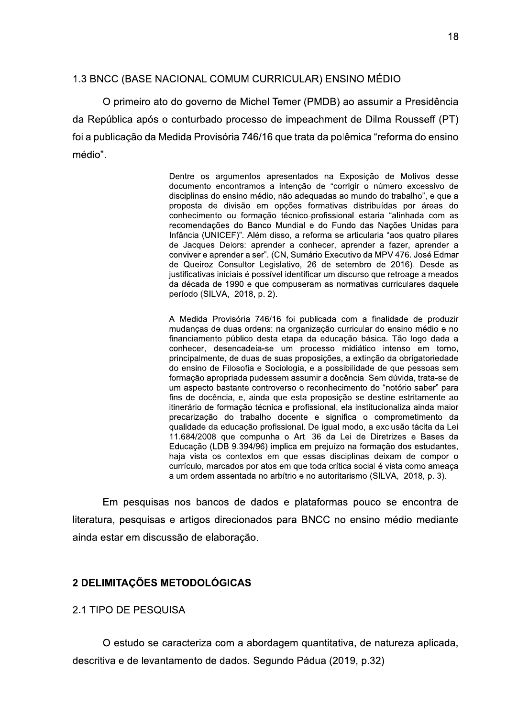## 1.3 BNCC (BASE NACIONAL COMUM CURRICULAR) ENSINO MÉDIO

O primeiro ato do governo de Michel Temer (PMDB) ao assumir a Presidência da República após o conturbado processo de impeachment de Dilma Rousseff (PT) foi a publicação da Medida Provisória 746/16 que trata da polêmica "reforma do ensino médio".

> Dentre os argumentos apresentados na Exposição de Motivos desse documento encontramos a intenção de "corrigir o número excessivo de disciplinas do ensino médio, não adequadas ao mundo do trabalho", e que a proposta de divisão em opções formativas distribuídas por áreas do conhecimento ou formação técnico-profissional estaria "alinhada com as recomendações do Banco Mundial e do Fundo das Nações Unidas para Infância (UNICEF)". Além disso, a reforma se articularia "aos quatro pilares de Jacques Delors: aprender a conhecer, aprender a fazer, aprender a conviver e aprender a ser". (CN, Sumário Executivo da MPV 476. José Edmar de Queiroz Consultor Legislativo, 26 de setembro de 2016). Desde as justificativas iniciais é possível identificar um discurso que retroage a meados da década de 1990 e que compuseram as normativas curriculares daquele período (SILVA, 2018, p. 2).

> A Medida Provisória 746/16 foi publicada com a finalidade de produzir mudanças de duas ordens: na organização curricular do ensino médio e no financiamento público desta etapa da educação básica. Tão logo dada a conhecer, desencadeia-se um processo midiático intenso em torno, principalmente, de duas de suas proposições, a extinção da obrigatoriedade do ensino de Filosofia e Sociologia, e a possibilidade de que pessoas sem formação apropriada pudessem assumir a docência. Sem dúvida, trata-se de um aspecto bastante controverso o reconhecimento do "notório saber" para fins de docência, e, ainda que esta proposição se destine estritamente ao itinerário de formação técnica e profissional, ela institucionaliza ainda maior precarização do trabalho docente e significa o comprometimento da qualidade da educação profissional. De igual modo, a exclusão tácita da Lei 11.684/2008 que compunha o Art. 36 da Lei de Diretrizes e Bases da Educação (LDB 9.394/96) implica em prejuízo na formação dos estudantes, haja vista os contextos em que essas disciplinas deixam de compor o currículo, marcados por atos em que toda crítica social é vista como ameaça a um ordem assentada no arbítrio e no autoritarismo (SILVA, 2018, p. 3).

Em pesquisas nos bancos de dados e plataformas pouco se encontra de literatura, pesquisas e artigos direcionados para BNCC no ensino médio mediante ainda estar em discussão de elaboração.

## 2 DELIMITAÇÕES METODOLÓGICAS

#### **2.1 TIPO DE PESQUISA**

O estudo se caracteriza com a abordagem quantitativa, de natureza aplicada, descritiva e de levantamento de dados. Segundo Pádua (2019, p.32)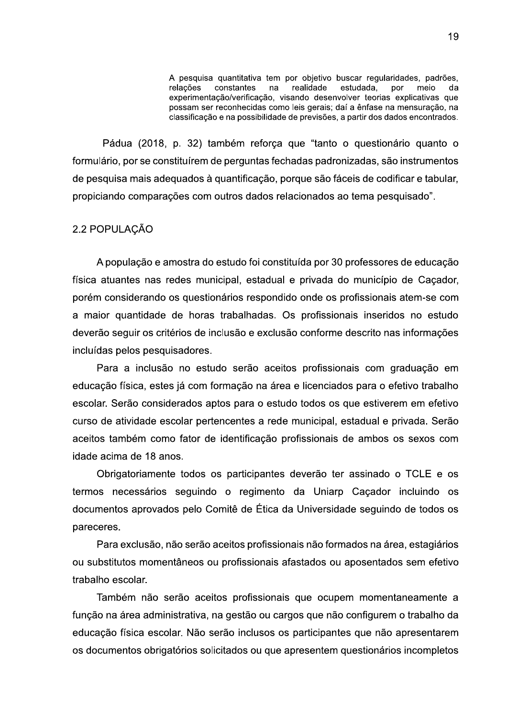A pesquisa quantitativa tem por objetivo buscar regularidades, padrões, relações constantes na realidade estudada, por meio da experimentação/verificação, visando desenvolver teorias explicativas que possam ser reconhecidas como leis gerais; daí a ênfase na mensuração, na classificação e na possibilidade de previsões, a partir dos dados encontrados.

Pádua (2018, p. 32) também reforça que "tanto o questionário quanto o formulário, por se constituírem de perguntas fechadas padronizadas, são instrumentos de pesquisa mais adequados à quantificação, porque são fáceis de codificar e tabular, propiciando comparações com outros dados relacionados ao tema pesquisado".

## 2.2 POPULACÃO

A população e amostra do estudo foi constituída por 30 professores de educação física atuantes nas redes municipal, estadual e privada do município de Caçador, porém considerando os questionários respondido onde os profissionais atem-se com a maior quantidade de horas trabalhadas. Os profissionais inseridos no estudo deverão seguir os critérios de inclusão e exclusão conforme descrito nas informações incluídas pelos pesquisadores.

Para a inclusão no estudo serão aceitos profissionais com graduação em educação física, estes já com formação na área e licenciados para o efetivo trabalho escolar. Serão considerados aptos para o estudo todos os que estiverem em efetivo curso de atividade escolar pertencentes a rede municipal, estadual e privada. Serão aceitos também como fator de identificação profissionais de ambos os sexos com idade acima de 18 anos.

Obrigatoriamente todos os participantes deverão ter assinado o TCLE e os termos necessários seguindo o regimento da Uniarp Caçador incluindo os documentos aprovados pelo Comitê de Ética da Universidade seguindo de todos os pareceres.

Para exclusão, não serão aceitos profissionais não formados na área, estagiários ou substitutos momentâneos ou profissionais afastados ou aposentados sem efetivo trabalho escolar.

Também não serão aceitos profissionais que ocupem momentaneamente a função na área administrativa, na gestão ou cargos que não configurem o trabalho da educação física escolar. Não serão inclusos os participantes que não apresentarem os documentos obrigatórios solicitados ou que apresentem questionários incompletos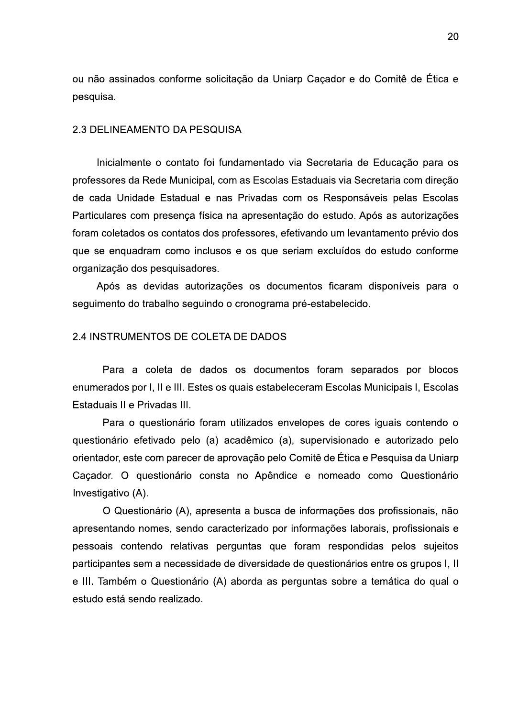ou não assinados conforme solicitação da Uniarp Caçador e do Comitê de Ética e pesquisa.

#### 2.3 DELINEAMENTO DA PESQUISA

Inicialmente o contato foi fundamentado via Secretaria de Educação para os professores da Rede Municipal, com as Escolas Estaduais via Secretaria com direção de cada Unidade Estadual e nas Privadas com os Responsáveis pelas Escolas Particulares com presença física na apresentação do estudo. Após as autorizações foram coletados os contatos dos professores, efetivando um levantamento prévio dos que se enquadram como inclusos e os que seriam excluídos do estudo conforme organização dos pesquisadores.

Após as devidas autorizações os documentos ficaram disponíveis para o seguimento do trabalho seguindo o cronograma pré-estabelecido.

### 2.4 INSTRUMENTOS DE COLETA DE DADOS

Para a coleta de dados os documentos foram separados por blocos enumerados por I, II e III. Estes os quais estabeleceram Escolas Municipais I, Escolas Estaduais II e Privadas III.

Para o questionário foram utilizados envelopes de cores iguais contendo o questionário efetivado pelo (a) acadêmico (a), supervisionado e autorizado pelo orientador, este com parecer de aprovação pelo Comitê de Ética e Pesquisa da Uniarp Caçador. O questionário consta no Apêndice e nomeado como Questionário Investigativo (A).

O Questionário (A), apresenta a busca de informações dos profissionais, não apresentando nomes, sendo caracterizado por informações laborais, profissionais e pessoais contendo relativas perguntas que foram respondidas pelos sujeitos participantes sem a necessidade de diversidade de questionários entre os grupos I, II e III. Também o Questionário (A) aborda as perguntas sobre a temática do qual o estudo está sendo realizado.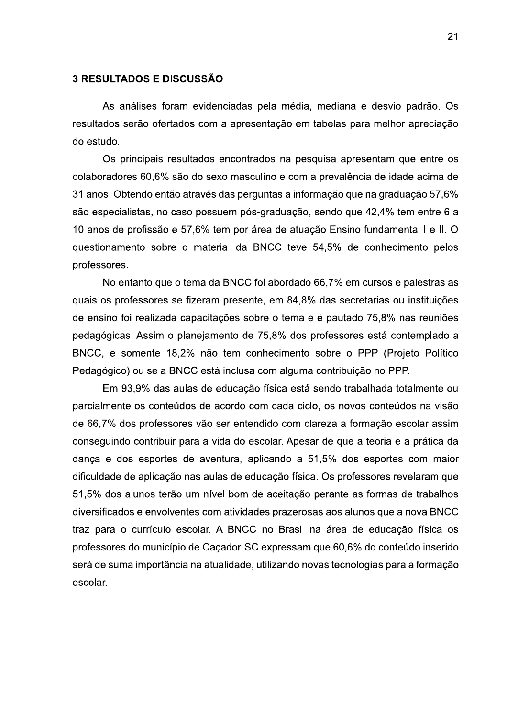#### **3 RESULTADOS E DISCUSSÃO**

As análises foram evidenciadas pela média, mediana e desvio padrão. Os resultados serão ofertados com a apresentação em tabelas para melhor apreciação do estudo.

Os principais resultados encontrados na pesquisa apresentam que entre os colaboradores 60,6% são do sexo masculino e com a prevalência de idade acima de 31 anos. Obtendo então através das perguntas a informação que na graduação 57,6% são especialistas, no caso possuem pós-graduação, sendo que 42,4% tem entre 6 a 10 anos de profissão e 57,6% tem por área de atuação Ensino fundamental I e II. O questionamento sobre o material da BNCC teve 54,5% de conhecimento pelos professores.

No entanto que o tema da BNCC foi abordado 66,7% em cursos e palestras as quais os professores se fizeram presente, em 84,8% das secretarias ou instituições de ensino foi realizada capacitações sobre o tema e é pautado 75,8% nas reuniões pedagógicas. Assim o planejamento de 75,8% dos professores está contemplado a BNCC, e somente 18,2% não tem conhecimento sobre o PPP (Projeto Político Pedagógico) ou se a BNCC está inclusa com alguma contribuição no PPP.

Em 93,9% das aulas de educação física está sendo trabalhada totalmente ou parcialmente os conteúdos de acordo com cada ciclo, os novos conteúdos na visão de 66,7% dos professores vão ser entendido com clareza a formação escolar assim conseguindo contribuir para a vida do escolar. Apesar de que a teoria e a prática da dança e dos esportes de aventura, aplicando a 51,5% dos esportes com maior dificuldade de aplicação nas aulas de educação física. Os professores revelaram que 51,5% dos alunos terão um nível bom de aceitação perante as formas de trabalhos diversificados e envolventes com atividades prazerosas aos alunos que a nova BNCC traz para o currículo escolar. A BNCC no Brasil na área de educação física os professores do município de Caçador-SC expressam que 60,6% do conteúdo inserido será de suma importância na atualidade, utilizando novas tecnologias para a formação escolar.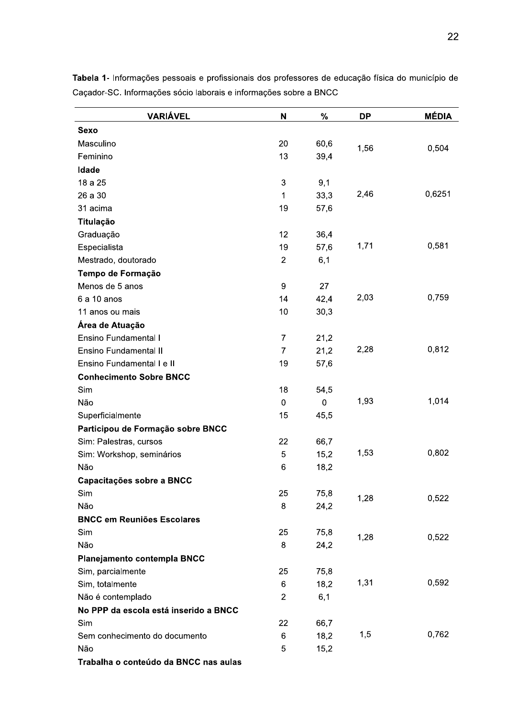| <b>VARIÁVEL</b>                       | N                | %         | <b>DP</b> | <b>MÉDIA</b> |
|---------------------------------------|------------------|-----------|-----------|--------------|
| <b>Sexo</b>                           |                  |           |           |              |
| Masculino                             | 20               | 60,6      | 1,56      | 0,504        |
| Feminino                              | 13               | 39,4      |           |              |
| Idade                                 |                  |           |           |              |
| 18 a 25                               | 3                | 9,1       |           |              |
| 26 a 30                               | $\mathbf 1$      | 33,3      | 2,46      | 0,6251       |
| 31 acima                              | 19               | 57,6      |           |              |
| Titulação                             |                  |           |           |              |
| Graduação                             | 12               | 36,4      |           |              |
| Especialista                          | 19               | 57,6      | 1,71      | 0,581        |
| Mestrado, doutorado                   | $\mathbf{2}$     | 6,1       |           |              |
| Tempo de Formação                     |                  |           |           |              |
| Menos de 5 anos                       | $\boldsymbol{9}$ | 27        |           |              |
| 6 a 10 anos                           | 14               | 42,4      | 2,03      | 0,759        |
| 11 anos ou mais                       | 10               | 30,3      |           |              |
| Área de Atuação                       |                  |           |           |              |
| <b>Ensino Fundamental I</b>           | $\overline{7}$   | 21,2      |           |              |
| <b>Ensino Fundamental II</b>          | 7                | 21,2      | 2,28      | 0,812        |
| Ensino Fundamental I e II             | 19               | 57,6      |           |              |
| <b>Conhecimento Sobre BNCC</b>        |                  |           |           |              |
| Sim                                   | 18               | 54,5      |           |              |
| Não                                   | $\mathbf 0$      | $\pmb{0}$ | 1,93      | 1,014        |
| Superficialmente                      | 15               | 45,5      |           |              |
| Participou de Formação sobre BNCC     |                  |           |           |              |
| Sim: Palestras, cursos                | 22               | 66,7      |           |              |
| Sim: Workshop, seminários             | 5                | 15,2      | 1,53      | 0,802        |
| Não                                   | 6                | 18,2      |           |              |
| Capacitações sobre a BNCC             |                  |           |           |              |
| Sim                                   | 25               | 75,8      | 1,28      | 0,522        |
| Não                                   | 8                | 24,2      |           |              |
| <b>BNCC em Reuniões Escolares</b>     |                  |           |           |              |
| Sim                                   | 25               | 75,8      | 1,28      | 0,522        |
| Não                                   | 8                | 24,2      |           |              |
| Planejamento contempla BNCC           |                  |           |           |              |
| Sim, parcialmente                     | 25               | 75,8      |           |              |
| Sim, totalmente                       | $\,6$            | 18,2      | 1,31      | 0,592        |
| Não é contemplado                     | $\overline{c}$   | 6,1       |           |              |
| No PPP da escola está inserido a BNCC |                  |           |           |              |
| Sim                                   | 22               | 66,7      |           |              |
| Sem conhecimento do documento         | 6                | 18,2      | 1,5       | 0,762        |
| Não                                   | 5                | 15,2      |           |              |
| Trabalha o conteúdo da BNCC nas aulas |                  |           |           |              |

Tabela 1- Informações pessoais e profissionais dos professores de educação física do município de Caçador-SC. Informações sócio laborais e informações sobre a BNCC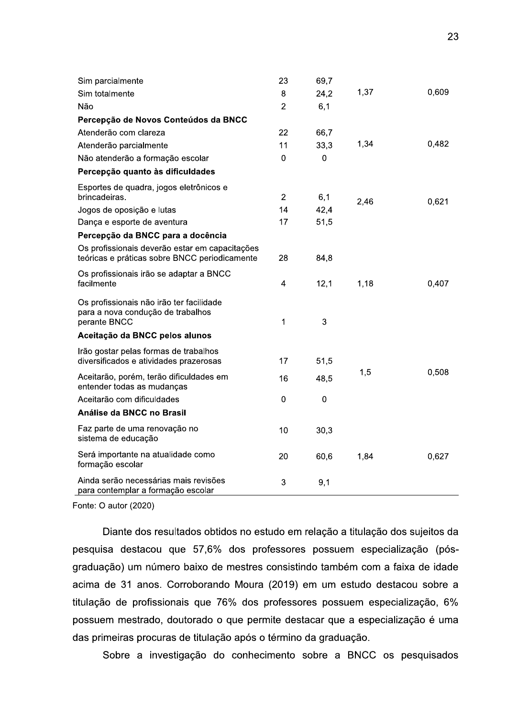|  |                                                                                                 |                |              |      | ້     |
|--|-------------------------------------------------------------------------------------------------|----------------|--------------|------|-------|
|  |                                                                                                 |                |              |      |       |
|  | Sim parcialmente                                                                                | 23             | 69,7         |      |       |
|  | Sim totalmente                                                                                  | 8              | 24,2         | 1,37 | 0,609 |
|  | Não                                                                                             | $\overline{2}$ | 6,1          |      |       |
|  | Percepção de Novos Conteúdos da BNCC                                                            |                |              |      |       |
|  | Atenderão com clareza                                                                           | 22             | 66,7         |      |       |
|  | Atenderão parcialmente                                                                          | 11             | 33,3         | 1,34 | 0,482 |
|  | Não atenderão a formação escolar                                                                | 0              | $\mathbf 0$  |      |       |
|  | Percepção quanto às dificuldades                                                                |                |              |      |       |
|  | Esportes de quadra, jogos eletrônicos e<br>brincadeiras.                                        | $\overline{2}$ | 6,1          |      |       |
|  | Jogos de oposição e lutas                                                                       | 14             | 42,4         | 2,46 | 0,621 |
|  | Dança e esporte de aventura                                                                     | 17             | 51,5         |      |       |
|  | Percepção da BNCC para a docência                                                               |                |              |      |       |
|  | Os profissionais deverão estar em capacitações<br>teóricas e práticas sobre BNCC periodicamente | 28             | 84,8         |      |       |
|  | Os profissionais irão se adaptar a BNCC<br>facilmente                                           | 4              | 12,1         | 1,18 | 0,407 |
|  | Os profissionais não irão ter facilidade<br>para a nova condução de trabalhos<br>perante BNCC   | 1              | $\mathbf{3}$ |      |       |
|  | Aceitação da BNCC pelos alunos                                                                  |                |              |      |       |
|  | Irão gostar pelas formas de trabalhos<br>diversificados e atividades prazerosas                 | 17             | 51,5         |      |       |
|  | Aceitarão, porém, terão dificuldades em<br>entender todas as mudanças                           | 16             | 48,5         | 1,5  | 0,508 |
|  | Aceitarão com dificuldades                                                                      | 0              | $\mathbf 0$  |      |       |
|  | Análise da BNCC no Brasil                                                                       |                |              |      |       |
|  | Faz parte de uma renovação no<br>sistema de educação                                            | 10             | 30,3         |      |       |
|  | Será importante na atualidade como<br>formação escolar                                          | 20             | 60,6         | 1,84 | 0,627 |
|  | Ainda serão necessárias mais revisões<br>para contemplar a formação escolar                     | 3              | 9,1          |      |       |

Fonte: O autor  $(2020)$ 

Diante dos resultados obtidos no estudo em relação a titulação dos sujeitos da pesquisa destacou que 57,6% dos professores possuem especialização (pósgraduação) um número baixo de mestres consistindo também com a faixa de idade acima de 31 anos. Corroborando Moura (2019) em um estudo destacou sobre a titulação de profissionais que 76% dos professores possuem especialização, 6% possuem mestrado, doutorado o que permite destacar que a especialização é uma das primeiras procuras de titulação após o término da graduação.

Sobre a investigação do conhecimento sobre a BNCC os pesquisados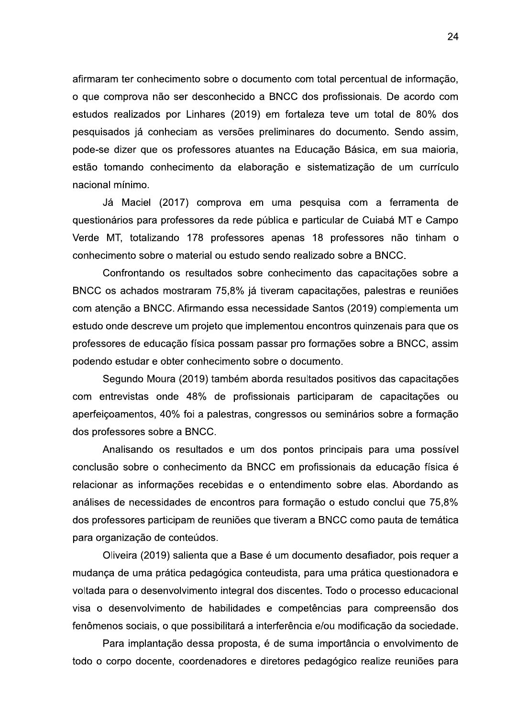afirmaram ter conhecimento sobre o documento com total percentual de informação, o que comprova não ser desconhecido a BNCC dos profissionais. De acordo com estudos realizados por Linhares (2019) em fortaleza teve um total de 80% dos pesquisados já conheciam as versões preliminares do documento. Sendo assim, pode-se dizer que os professores atuantes na Educação Básica, em sua maioria, estão tomando conhecimento da elaboração e sistematização de um currículo nacional mínimo.

Já Maciel (2017) comprova em uma pesquisa com a ferramenta de questionários para professores da rede pública e particular de Cuiabá MT e Campo Verde MT, totalizando 178 professores apenas 18 professores não tinham o conhecimento sobre o material ou estudo sendo realizado sobre a BNCC.

Confrontando os resultados sobre conhecimento das capacitações sobre a BNCC os achados mostraram 75,8% já tiveram capacitações, palestras e reuniões com atenção a BNCC. Afirmando essa necessidade Santos (2019) complementa um estudo onde descreve um projeto que implementou encontros quinzenais para que os professores de educação física possam passar pro formações sobre a BNCC, assim podendo estudar e obter conhecimento sobre o documento.

Segundo Moura (2019) também aborda resultados positivos das capacitações com entrevistas onde 48% de profissionais participaram de capacitações ou aperfeiçoamentos, 40% foi a palestras, congressos ou seminários sobre a formação dos professores sobre a BNCC.

Analisando os resultados e um dos pontos principais para uma possível conclusão sobre o conhecimento da BNCC em profissionais da educação física é relacionar as informações recebidas e o entendimento sobre elas. Abordando as análises de necessidades de encontros para formação o estudo conclui que 75.8% dos professores participam de reuniões que tiveram a BNCC como pauta de temática para organização de conteúdos.

Oliveira (2019) salienta que a Base é um documento desafiador, pois requer a mudança de uma prática pedagógica conteudista, para uma prática questionadora e voltada para o desenvolvimento integral dos discentes. Todo o processo educacional visa o desenvolvimento de habilidades e competências para compreensão dos fenômenos sociais, o que possibilitará a interferência e/ou modificação da sociedade.

Para implantação dessa proposta, é de suma importância o envolvimento de todo o corpo docente, coordenadores e diretores pedagógico realize reuniões para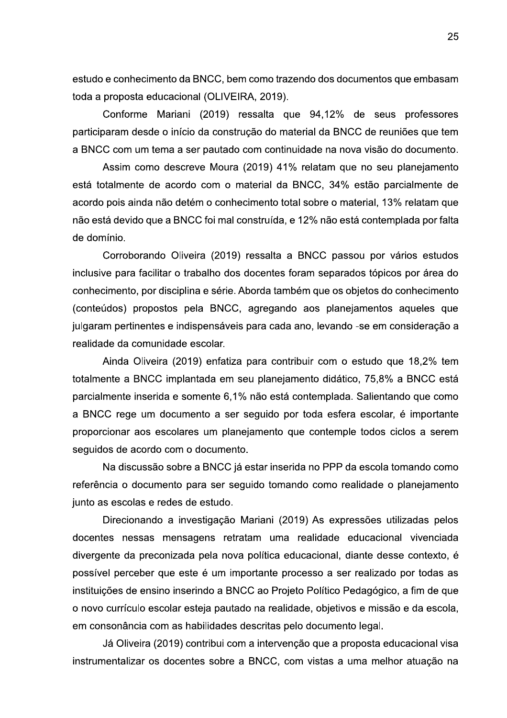estudo e conhecimento da BNCC, bem como trazendo dos documentos que embasam toda a proposta educacional (OLIVEIRA, 2019).

Conforme Mariani (2019) ressalta que 94,12% de seus professores participaram desde o início da construção do material da BNCC de reuniões que tem a BNCC com um tema a ser pautado com continuidade na nova visão do documento.

Assim como descreve Moura (2019) 41% relatam que no seu planejamento está totalmente de acordo com o material da BNCC, 34% estão parcialmente de acordo pois ainda não detém o conhecimento total sobre o material, 13% relatam que não está devido que a BNCC foi mal construída, e 12% não está contemplada por falta de domínio.

Corroborando Oliveira (2019) ressalta a BNCC passou por vários estudos inclusive para facilitar o trabalho dos docentes foram separados tópicos por área do conhecimento, por disciplina e série. Aborda também que os objetos do conhecimento (conteúdos) propostos pela BNCC, agregando aos planejamentos aqueles que julgaram pertinentes e indispensáveis para cada ano, levando -se em consideração a realidade da comunidade escolar.

Ainda Oliveira (2019) enfatiza para contribuir com o estudo que 18,2% tem totalmente a BNCC implantada em seu planejamento didático, 75,8% a BNCC está parcialmente inserida e somente 6,1% não está contemplada. Salientando que como a BNCC rege um documento a ser seguido por toda esfera escolar, é importante proporcionar aos escolares um planejamento que contemple todos ciclos a serem seguidos de acordo com o documento.

Na discussão sobre a BNCC já estar inserida no PPP da escola tomando como referência o documento para ser seguido tomando como realidade o planejamento junto as escolas e redes de estudo.

Direcionando a investigação Mariani (2019) As expressões utilizadas pelos docentes nessas mensagens retratam uma realidade educacional vivenciada divergente da preconizada pela nova política educacional, diante desse contexto, é possível perceber que este é um importante processo a ser realizado por todas as instituições de ensino inserindo a BNCC ao Projeto Político Pedagógico, a fim de que o novo currículo escolar esteja pautado na realidade, objetivos e missão e da escola, em consonância com as habilidades descritas pelo documento legal.

Já Oliveira (2019) contribui com a intervenção que a proposta educacional visa instrumentalizar os docentes sobre a BNCC, com vistas a uma melhor atuação na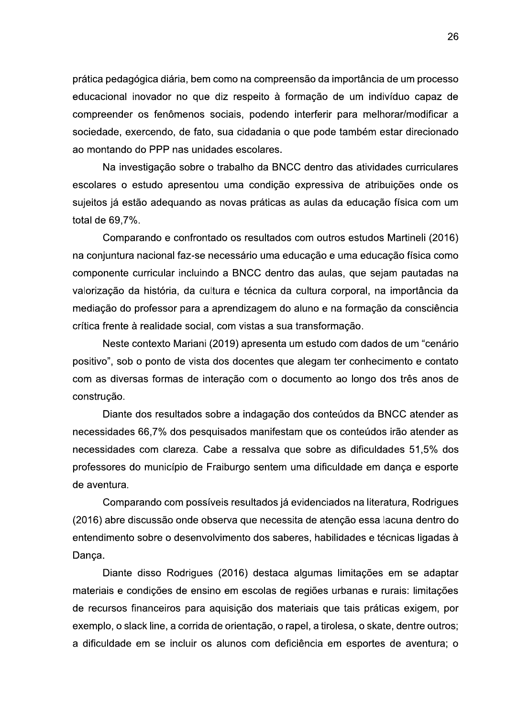prática pedagógica diária, bem como na compreensão da importância de um processo educacional inovador no que diz respeito à formação de um indivíduo capaz de compreender os fenômenos sociais, podendo interferir para melhorar/modificar a sociedade, exercendo, de fato, sua cidadania o que pode também estar direcionado ao montando do PPP nas unidades escolares.

Na investigação sobre o trabalho da BNCC dentro das atividades curriculares escolares o estudo apresentou uma condição expressiva de atribuições onde os sujeitos já estão adequando as novas práticas as aulas da educação física com um total de 69.7%.

Comparando e confrontado os resultados com outros estudos Martineli (2016) na conjuntura nacional faz-se necessário uma educação e uma educação física como componente curricular incluindo a BNCC dentro das aulas, que sejam pautadas na valorização da história, da cultura e técnica da cultura corporal, na importância da mediação do professor para a aprendizagem do aluno e na formação da consciência crítica frente à realidade social, com vistas a sua transformação.

Neste contexto Mariani (2019) apresenta um estudo com dados de um "cenário positivo", sob o ponto de vista dos docentes que alegam ter conhecimento e contato com as diversas formas de interação com o documento ao longo dos três anos de construção.

Diante dos resultados sobre a indagação dos conteúdos da BNCC atender as necessidades 66,7% dos pesquisados manifestam que os conteúdos irão atender as necessidades com clareza. Cabe a ressalva que sobre as dificuldades 51,5% dos professores do município de Fraiburgo sentem uma dificuldade em dança e esporte de aventura.

Comparando com possíveis resultados já evidenciados na literatura, Rodrigues (2016) abre discussão onde observa que necessita de atenção essa lacuna dentro do entendimento sobre o desenvolvimento dos saberes, habilidades e técnicas ligadas à Danca.

Diante disso Rodrigues (2016) destaca algumas limitações em se adaptar materiais e condições de ensino em escolas de regiões urbanas e rurais: limitações de recursos financeiros para aquisição dos materiais que tais práticas exigem, por exemplo, o slack line, a corrida de orientação, o rapel, a tirolesa, o skate, dentre outros; a dificuldade em se incluir os alunos com deficiência em esportes de aventura; o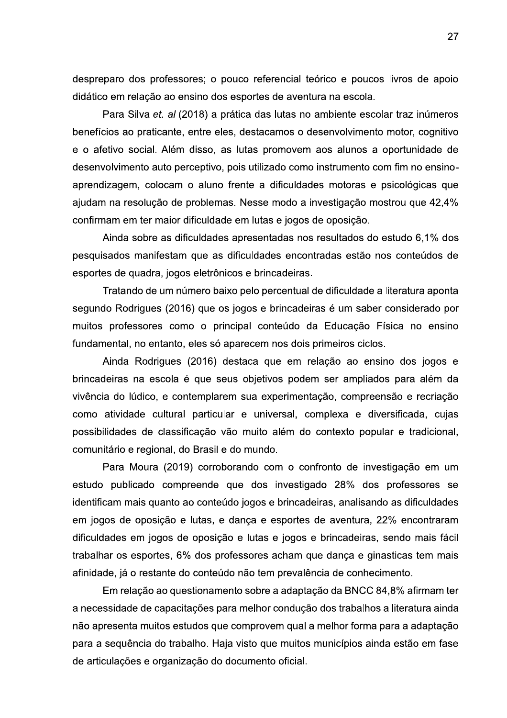despreparo dos professores; o pouco referencial teórico e poucos livros de apoio didático em relação ao ensino dos esportes de aventura na escola.

Para Silva et. al (2018) a prática das lutas no ambiente escolar traz inúmeros benefícios ao praticante, entre eles, destacamos o desenvolvimento motor, cognitivo e o afetivo social. Além disso, as lutas promovem aos alunos a oportunidade de desenvolvimento auto perceptivo, pois utilizado como instrumento com fim no ensinoaprendizagem, colocam o aluno frente a dificuldades motoras e psicológicas que ajudam na resolução de problemas. Nesse modo a investigação mostrou que 42,4% confirmam em ter maior dificuldade em lutas e jogos de oposição.

Ainda sobre as dificuldades apresentadas nos resultados do estudo 6,1% dos pesquisados manifestam que as dificuldades encontradas estão nos conteúdos de esportes de quadra, jogos eletrônicos e brincadeiras.

Tratando de um número baixo pelo percentual de dificuldade a literatura aponta segundo Rodrigues (2016) que os jogos e brincadeiras é um saber considerado por muitos professores como o principal conteúdo da Educação Física no ensino fundamental, no entanto, eles só aparecem nos dois primeiros ciclos.

Ainda Rodrigues (2016) destaca que em relação ao ensino dos jogos e brincadeiras na escola é que seus objetivos podem ser ampliados para além da vivência do lúdico, e contemplarem sua experimentação, compreensão e recriação como atividade cultural particular e universal, complexa e diversificada, cujas possibilidades de classificação vão muito além do contexto popular e tradicional, comunitário e regional, do Brasil e do mundo.

Para Moura (2019) corroborando com o confronto de investigação em um estudo publicado compreende que dos investigado 28% dos professores se identificam mais quanto ao conteúdo jogos e brincadeiras, analisando as dificuldades em jogos de oposição e lutas, e dança e esportes de aventura, 22% encontraram dificuldades em jogos de oposição e lutas e jogos e brincadeiras, sendo mais fácil trabalhar os esportes, 6% dos professores acham que dança e ginasticas tem mais afinidade, já o restante do conteúdo não tem prevalência de conhecimento.

Em relação ao questionamento sobre a adaptação da BNCC 84,8% afirmam ter a necessidade de capacitações para melhor condução dos trabalhos a literatura ainda não apresenta muitos estudos que comprovem qual a melhor forma para a adaptação para a seguência do trabalho. Haja visto que muitos municípios ainda estão em fase de articulações e organização do documento oficial.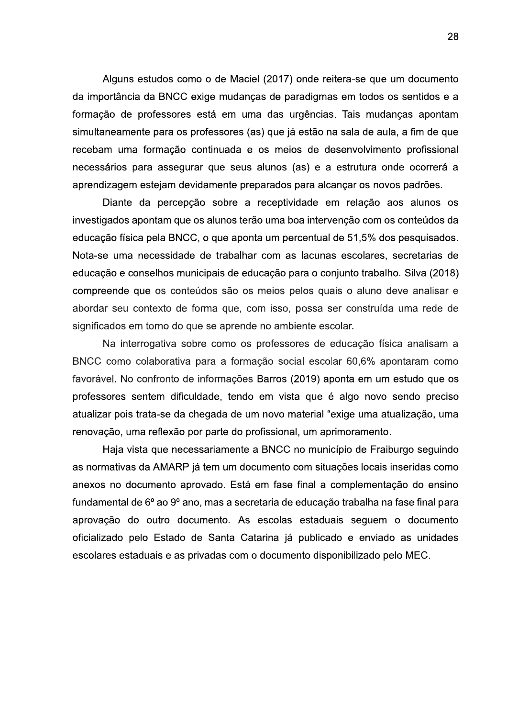Aiguns estudos como o de Maciel (2017) onde reitera-se que um documento da importancia da BNCC exige mudanças de paradigmas em todos os sentidos e a formação de professores esta en Alguns estudos como o de Maciel (2017) onde reitera-se que um documento<br>da importância da BNCC exige mudanças de paradigmas em todos os sentidos e a<br>formação de professores está em uma das urgências. Tais mudanças apontam<br> amente para os professores (as) que ja estao na sala de aula, a fim de que recebam uma formação continuada e os meios de desenvolvimento profissional necessarios para assegurar que seus aiunos (as) e a estrutura onde ocorrera a aprendizagem estejam devidamente preparados para alcançar os novos padroes.

Diante da percepção sobre a receptividade em relação aos alunos os investigados apontam que os alunos terao uma boa intervenção com os conteudos da educação física pela BNCC, o que aponta um percentual de 51,5% dos pesquisados. Nota-se uma necessidade de trabalhar com as lacunas escolares, secretarias de educação e conseinos municipais de educação para o conjunto trabaino. Sliva (2018) compreende que os conteudos são os meios pelos quais o aluno deve analisar e abordar seu contexto de forma que, com isso, possa ser construída uma rede de significados em torno do que se aprende no ambiente escolar.

lna interrogativa sobre como os professores de educação física analisam a  $\mathsf{BNCC}$  como colaborativa para a formação social escolar 60,6% apontaram como favoravel. No confronto de informações Barros (2019) aponta em um estudo que os professores sentem dificuldade, tendo em vista que e algo hovo sendo preciso atualizar pois trata-se da chegada de um novo material "exige uma atualização, uma renovação, uma reflexão por parte do profissional, um aprimoramento.

 $H$ aja vista que necessariamente a BNCC no municipio de Fraiburgo seguindo as normativas da AlviARP ja tem um documento com situações locais inseridas como anexos no documento aprovado. Esta em fase final a complementação do ensino fundamental de 6º ao 9º ano, mas a secretaria de educação trabalha ha fase final para aprovação do outro documento. As escolas estaduais seguem o documento oficializado pelo Estado de Santa Catarina ja publicado e enviado as unidades escolares estaduais e as privadas com o documento disponibilizado pelo MEC.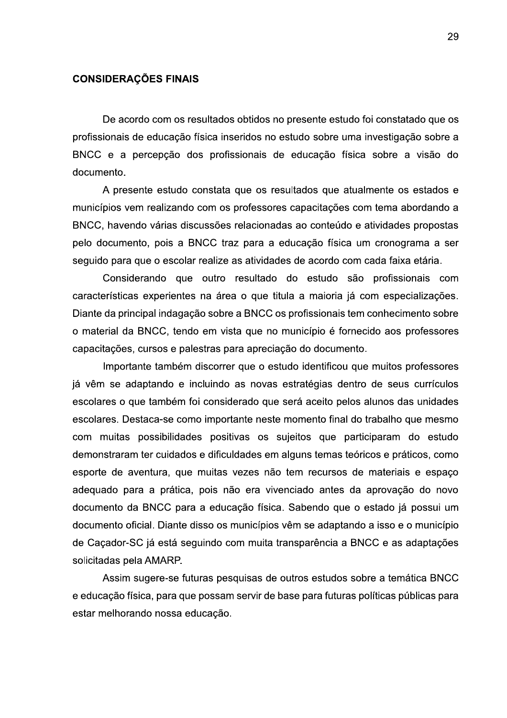#### **CONSIDERAÇÕES FINAIS**

De acordo com os resultados obtidos no presente estudo foi constatado que os profissionais de educação física inseridos no estudo sobre uma investigação sobre a BNCC e a percepção dos profissionais de educação física sobre a visão do documento.

A presente estudo constata que os resultados que atualmente os estados e municípios vem realizando com os professores capacitações com tema abordando a BNCC, havendo várias discussões relacionadas ao conteúdo e atividades propostas pelo documento, pois a BNCC traz para a educação física um cronograma a ser seguido para que o escolar realize as atividades de acordo com cada faixa etária.

Considerando que outro resultado do estudo são profissionais com características experientes na área o que titula a maioria já com especializações. Diante da principal indagação sobre a BNCC os profissionais tem conhecimento sobre o material da BNCC, tendo em vista que no município é fornecido aos professores capacitações, cursos e palestras para apreciação do documento.

Importante também discorrer que o estudo identificou que muitos professores já vêm se adaptando e incluindo as novas estratégias dentro de seus currículos escolares o que também foi considerado que será aceito pelos alunos das unidades escolares. Destaca-se como importante neste momento final do trabalho que mesmo com muitas possibilidades positivas os sujeitos que participaram do estudo demonstraram ter cuidados e dificuldades em alguns temas teóricos e práticos, como esporte de aventura, que muitas vezes não tem recursos de materiais e espaço adeguado para a prática, pois não era vivenciado antes da aprovação do novo documento da BNCC para a educação física. Sabendo que o estado já possui um documento oficial. Diante disso os municípios vêm se adaptando a isso e o município de Caçador-SC já está seguindo com muita transparência a BNCC e as adaptações solicitadas pela AMARP.

Assim sugere-se futuras pesquisas de outros estudos sobre a temática BNCC e educação física, para que possam servir de base para futuras políticas públicas para estar melhorando nossa educação.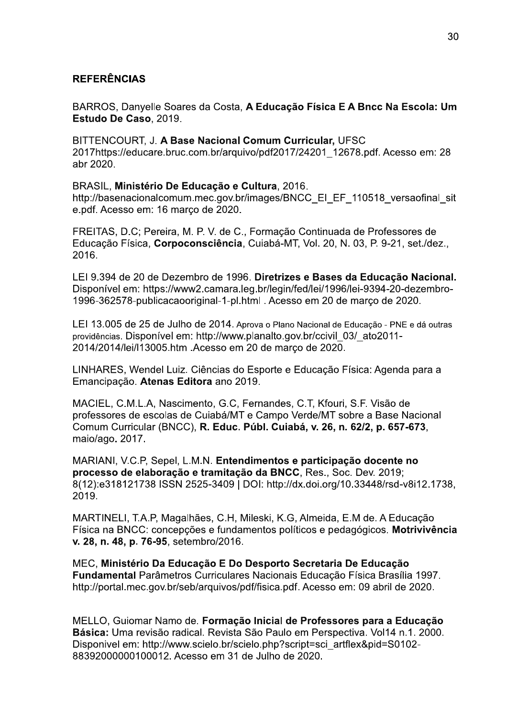## **REFERÊNCIAS**

BARROS, Danyelle Soares da Costa, A Educação Física E A Bncc Na Escola: Um Estudo De Caso, 2019.

BITTENCOURT, J. A Base Nacional Comum Curricular, UFSC 2017https://educare.bruc.com.br/arquivo/pdf2017/24201 12678.pdf. Acesso em: 28 abr 2020.

## BRASIL, Ministério De Educação e Cultura, 2016.

http://basenacionalcomum.mec.gov.br/images/BNCC EI EF 110518 versaofinal sit e.pdf. Acesso em: 16 março de 2020.

FREITAS, D.C; Pereira, M. P. V. de C., Formação Continuada de Professores de Educação Física, Corpoconsciência, Cuiabá-MT, Vol. 20, N. 03, P. 9-21, set./dez., 2016.

LEI 9.394 de 20 de Dezembro de 1996. Diretrizes e Bases da Educação Nacional. Disponível em: https://www2.camara.leg.br/legin/fed/lei/1996/lei-9394-20-dezembro-1996-362578-publicacaooriginal-1-pl.html . Acesso em 20 de março de 2020.

LEI 13.005 de 25 de Julho de 2014. Aprova o Plano Nacional de Educação - PNE e dá outras providências. Disponível em: http://www.planalto.gov.br/ccivil 03/ ato2011-2014/2014/lei/l13005.htm . Acesso em 20 de março de 2020.

LINHARES, Wendel Luiz. Ciências do Esporte e Educação Física: Agenda para a Emancipação. Atenas Editora ano 2019.

MACIEL, C.M.L.A, Nascimento, G.C, Fernandes, C.T, Kfouri, S.F. Visão de professores de escolas de Cuiabá/MT e Campo Verde/MT sobre a Base Nacional Comum Curricular (BNCC), R. Educ. Públ. Cuiabá, v. 26, n. 62/2, p. 657-673, maio/ago. 2017.

MARIANI, V.C.P. Sepel, L.M.N. Entendimentos e participação docente no processo de elaboração e tramitação da BNCC, Res., Soc. Dev. 2019; 8(12):e318121738 ISSN 2525-3409 | DOI: http://dx.doi.org/10.33448/rsd-v8i12.1738, 2019.

MARTINELI, T.A.P, Magalhães, C.H, Mileski, K.G, Almeida, E.M de. A Educação Física na BNCC: concepções e fundamentos políticos e pedagógicos. Motrivivência v. 28, n. 48, p. 76-95, setembro/2016.

MEC, Ministério Da Educação E Do Desporto Secretaria De Educação Fundamental Parâmetros Curriculares Nacionais Educação Física Brasília 1997. http://portal.mec.gov.br/seb/arquivos/pdf/fisica.pdf. Acesso em: 09 abril de 2020.

MELLO, Guiomar Namo de. Formação Inicial de Professores para a Educação Básica: Uma revisão radical. Revista São Paulo em Perspectiva. Vol14 n.1. 2000. Disponivel em: http://www.scielo.br/scielo.php?script=sci\_artflex&pid=S0102-88392000000100012. Acesso em 31 de Julho de 2020.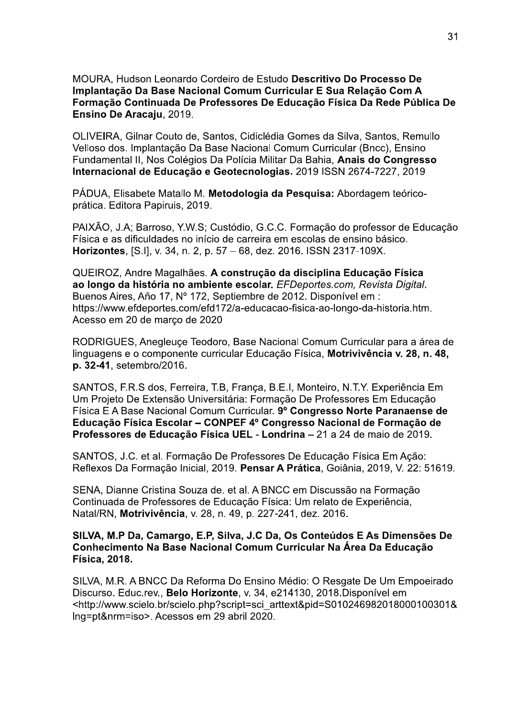MOURA, Hudson Leonardo Cordeiro de Estudo Descritivo Do Processo De Implantação Da Base Nacional Comum Curricular E Sua Relação Com A Formação Continuada De Professores De Educação Física Da Rede Pública De Ensino De Aracaju, 2019.

OLIVEIRA, Gilnar Couto de, Santos, Cidiclédia Gomes da Silva, Santos, Remullo Velloso dos. Implantação Da Base Nacional Comum Curricular (Bncc). Ensino Fundamental II, Nos Colégios Da Polícia Militar Da Bahia, Anais do Congresso Internacional de Educação e Geotecnologias. 2019 ISSN 2674-7227, 2019

PÁDUA, Elisabete Matallo M. Metodologia da Pesquisa: Abordagem teóricoprática. Editora Papiruis, 2019.

PAIXÃO, J.A; Barroso, Y.W.S; Custódio, G.C.C. Formação do professor de Educação Física e as dificuldades no início de carreira em escolas de ensino básico. Horizontes, [S.I], v. 34, n. 2, p. 57 - 68, dez. 2016. ISSN 2317-109X.

QUEIROZ, Andre Magalhães. A construção da disciplina Educação Física ao longo da história no ambiente escolar. EFDeportes.com, Revista Digital. Buenos Aires, Año 17, Nº 172, Septiembre de 2012. Disponível em : https://www.efdeportes.com/efd172/a-educacao-fisica-ao-longo-da-historia.htm. Acesso em 20 de março de 2020

RODRIGUES, Anegleuce Teodoro, Base Nacional Comum Curricular para a área de linquagens e o componente curricular Educação Física, Motrivivência v. 28, n. 48, p. 32-41, setembro/2016.

SANTOS, F.R.S dos, Ferreira, T.B. Franca, B.E.I, Monteiro, N.T.Y. Experiência Em Um Proieto De Extensão Universitária: Formação De Professores Em Educação Física E A Base Nacional Comum Curricular. 9º Congresso Norte Paranaense de Educação Física Escolar - CONPEF 4º Congresso Nacional de Formação de Professores de Educação Física UEL - Londrina - 21 a 24 de maio de 2019.

SANTOS, J.C. et al. Formação De Professores De Educação Física Em Ação: Reflexos Da Formação Inicial, 2019. Pensar A Prática, Goiânia, 2019, V. 22: 51619.

SENA, Dianne Cristina Souza de, et al. A BNCC em Discussão na Formação Continuada de Professores de Educação Física: Um relato de Experiência. Natal/RN, Motrivivência, v. 28, n. 49, p. 227-241, dez. 2016.

## SILVA, M.P Da, Camargo, E.P, Silva, J.C Da, Os Conteúdos E As Dimensões De Conhecimento Na Base Nacional Comum Curricular Na Área Da Educação **Física, 2018.**

SILVA, M.R. A BNCC Da Reforma Do Ensino Médio: O Resgate De Um Empoeirado Discurso, Educ.rev., Belo Horizonte, v. 34, e214130, 2018. Disponível em <http://www.scielo.br/scielo.php?script=sci arttext&pid=S010246982018000100301& Ing=pt&nrm=iso>. Acessos em 29 abril 2020.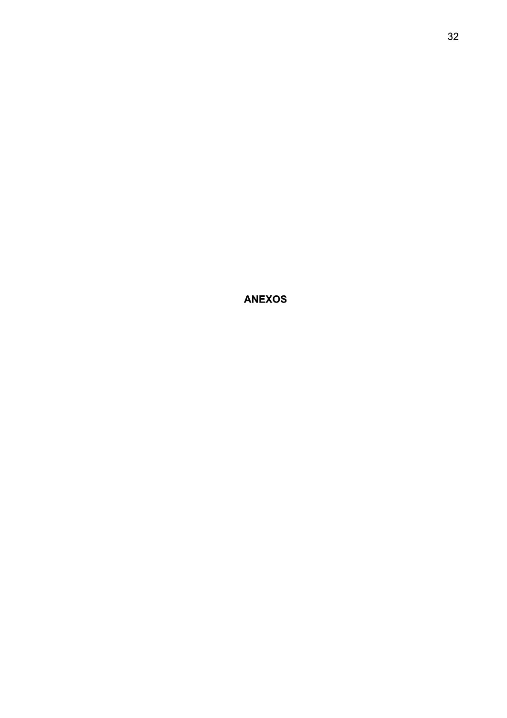**ANEXOS**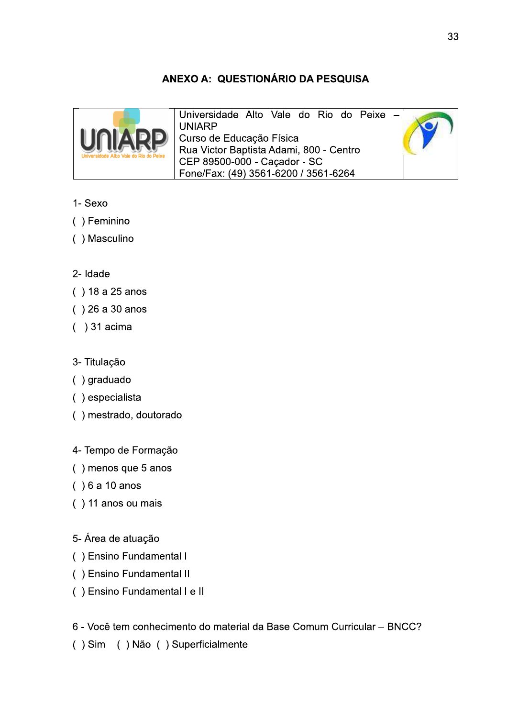# ANEXO A: QUESTIONÁRIO DA PESQUISA



Universidade Alto Vale do Rio do Peixe -**UNIARP** Curso de Educação Física Rua Victor Baptista Adami, 800 - Centro CEP 89500-000 - Caçador - SC Fone/Fax: (49) 3561-6200 / 3561-6264

# 1- Sexo

- () Feminino
- () Masculino

# 2- Idade

- $( ) 18 a 25 a$ nos
- $( ) 26 a 30 anos$
- $( ) 31$  acima
- 3- Titulação
- $( )$  graduado
- () especialista
- () mestrado, doutorado

# 4- Tempo de Formação

- () menos que 5 anos
- $( ) 6 a 10 a$ nos
- () 11 anos ou mais
- 5-Área de atuação
- () Ensino Fundamental I
- () Ensino Fundamental II
- () Ensino Fundamental I e II
- 6 Você tem conhecimento do material da Base Comum Curricular BNCC?
- () Sim () Não () Superficialmente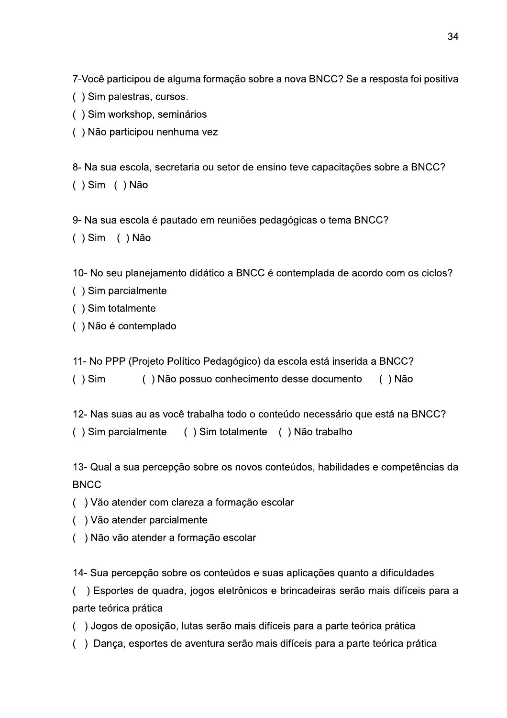7-Você participou de alguma formação sobre a nova BNCC? Se a resposta foi positiva

- () Sim palestras, cursos.
- () Sim workshop, seminários
- () Não participou nenhuma vez

8- Na sua escola, secretaria ou setor de ensino teve capacitações sobre a BNCC?  $( )$  Sim  $( )$  Não

9- Na sua escola é pautado em reuniões pedagógicas o tema BNCC?

 $( )$  Sim  $( )$  Não

10-No seu planejamento didático a BNCC é contemplada de acordo com os ciclos?

- () Sim parcialmente
- () Sim totalmente
- () Não é contemplado

11- No PPP (Projeto Político Pedagógico) da escola está inserida a BNCC?

() Não possuo conhecimento desse documento  $( )$  Sim  $( )$  Não

12- Nas suas aulas você trabalha todo o conteúdo necessário que está na BNCC?

() Sim parcialmente () Sim totalmente () Não trabalho

13- Qual a sua percepção sobre os novos conteúdos, habilidades e competências da **BNCC** 

- () Vão atender com clareza a formação escolar
- () Vão atender parcialmente
- () Não vão atender a formação escolar

14- Sua percepção sobre os conteúdos e suas aplicações quanto a dificuldades

() Esportes de quadra, jogos eletrônicos e brincadeiras serão mais difíceis para a parte teórica prática

- () Jogos de oposição, lutas serão mais difíceis para a parte teórica prática
- () Dança, esportes de aventura serão mais difíceis para a parte teórica prática